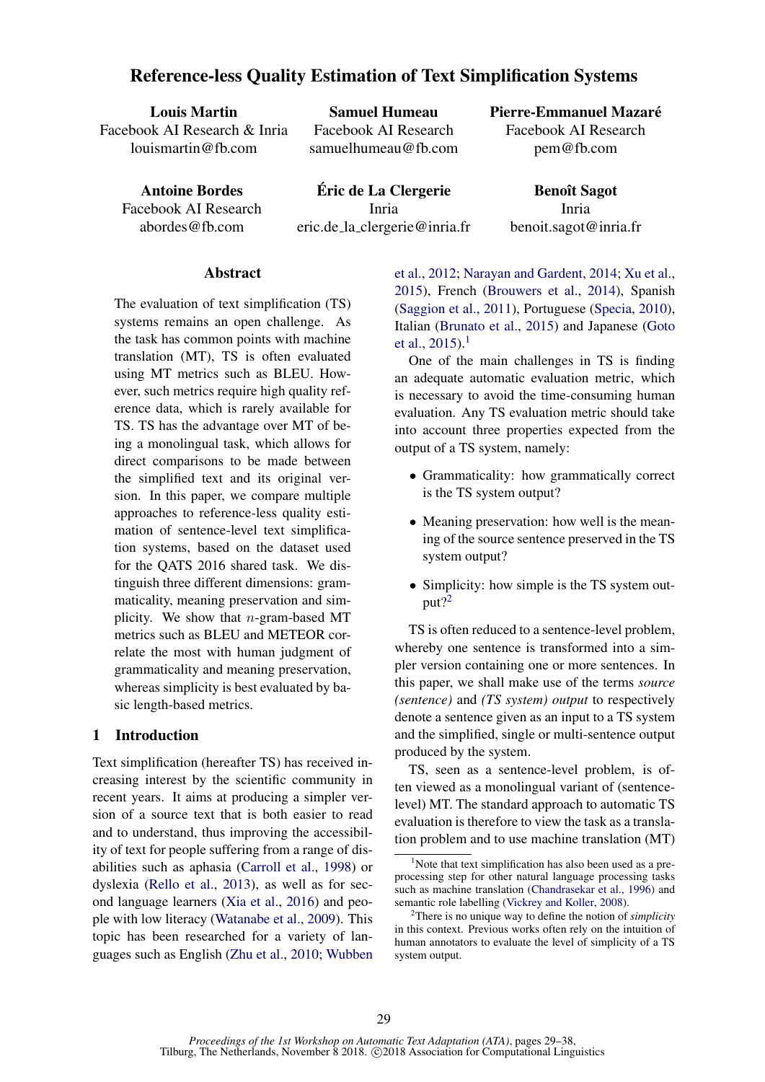# Reference-less Quality Estimation of Text Simplification Systems

Louis Martin Facebook AI Research & Inria louismartin@fb.com

Samuel Humeau Facebook AI Research samuelhumeau@fb.com

Antoine Bordes Facebook AI Research abordes@fb.com

Eric de La Clergerie ´ Inria eric.de la clergerie@inria.fr Pierre-Emmanuel Mazare´ Facebook AI Research pem@fb.com

> Benoît Sagot Inria benoit.sagot@inria.fr

### Abstract

The evaluation of text simplification (TS) systems remains an open challenge. As the task has common points with machine translation (MT), TS is often evaluated using MT metrics such as BLEU. However, such metrics require high quality reference data, which is rarely available for TS. TS has the advantage over MT of being a monolingual task, which allows for direct comparisons to be made between the simplified text and its original version. In this paper, we compare multiple approaches to reference-less quality estimation of sentence-level text simplification systems, based on the dataset used for the QATS 2016 shared task. We distinguish three different dimensions: grammaticality, meaning preservation and simplicity. We show that  $n$ -gram-based MT metrics such as BLEU and METEOR correlate the most with human judgment of grammaticality and meaning preservation, whereas simplicity is best evaluated by basic length-based metrics.

### 1 Introduction

Text simplification (hereafter TS) has received increasing interest by the scientific community in recent years. It aims at producing a simpler version of a source text that is both easier to read and to understand, thus improving the accessibility of text for people suffering from a range of disabilities such as aphasia (Carroll et al., 1998) or dyslexia (Rello et al., 2013), as well as for second language learners (Xia et al., 2016) and people with low literacy (Watanabe et al., 2009). This topic has been researched for a variety of languages such as English (Zhu et al., 2010; Wubben et al., 2012; Narayan and Gardent, 2014; Xu et al., 2015), French (Brouwers et al., 2014), Spanish (Saggion et al., 2011), Portuguese (Specia, 2010), Italian (Brunato et al., 2015) and Japanese (Goto et al.,  $2015$ ).<sup>1</sup>

One of the main challenges in TS is finding an adequate automatic evaluation metric, which is necessary to avoid the time-consuming human evaluation. Any TS evaluation metric should take into account three properties expected from the output of a TS system, namely:

- Grammaticality: how grammatically correct is the TS system output?
- Meaning preservation: how well is the meaning of the source sentence preserved in the TS system output?
- Simplicity: how simple is the TS system output $?^2$

TS is often reduced to a sentence-level problem, whereby one sentence is transformed into a simpler version containing one or more sentences. In this paper, we shall make use of the terms *source (sentence)* and *(TS system) output* to respectively denote a sentence given as an input to a TS system and the simplified, single or multi-sentence output produced by the system.

TS, seen as a sentence-level problem, is often viewed as a monolingual variant of (sentencelevel) MT. The standard approach to automatic TS evaluation is therefore to view the task as a translation problem and to use machine translation (MT)

 $1$ Note that text simplification has also been used as a preprocessing step for other natural language processing tasks such as machine translation (Chandrasekar et al., 1996) and semantic role labelling (Vickrey and Koller, 2008).

<sup>2</sup>There is no unique way to define the notion of *simplicity* in this context. Previous works often rely on the intuition of human annotators to evaluate the level of simplicity of a TS system output.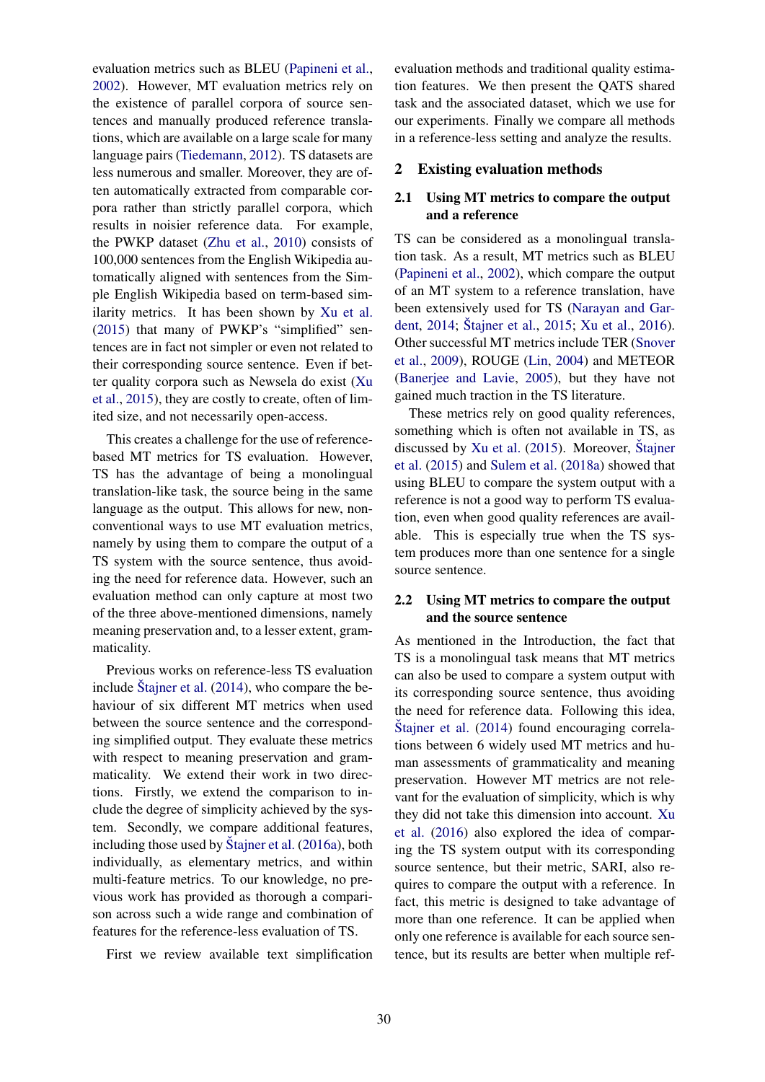evaluation metrics such as BLEU (Papineni et al., 2002). However, MT evaluation metrics rely on the existence of parallel corpora of source sentences and manually produced reference translations, which are available on a large scale for many language pairs (Tiedemann, 2012). TS datasets are less numerous and smaller. Moreover, they are often automatically extracted from comparable corpora rather than strictly parallel corpora, which results in noisier reference data. For example, the PWKP dataset (Zhu et al., 2010) consists of 100,000 sentences from the English Wikipedia automatically aligned with sentences from the Simple English Wikipedia based on term-based similarity metrics. It has been shown by Xu et al. (2015) that many of PWKP's "simplified" sentences are in fact not simpler or even not related to their corresponding source sentence. Even if better quality corpora such as Newsela do exist (Xu et al., 2015), they are costly to create, often of limited size, and not necessarily open-access.

This creates a challenge for the use of referencebased MT metrics for TS evaluation. However, TS has the advantage of being a monolingual translation-like task, the source being in the same language as the output. This allows for new, nonconventional ways to use MT evaluation metrics, namely by using them to compare the output of a TS system with the source sentence, thus avoiding the need for reference data. However, such an evaluation method can only capture at most two of the three above-mentioned dimensions, namely meaning preservation and, to a lesser extent, grammaticality.

Previous works on reference-less TS evaluation include Štajner et al.  $(2014)$ , who compare the behaviour of six different MT metrics when used between the source sentence and the corresponding simplified output. They evaluate these metrics with respect to meaning preservation and grammaticality. We extend their work in two directions. Firstly, we extend the comparison to include the degree of simplicity achieved by the system. Secondly, we compare additional features, including those used by  $\check{S}$ tajner et al.  $(2016a)$ , both individually, as elementary metrics, and within multi-feature metrics. To our knowledge, no previous work has provided as thorough a comparison across such a wide range and combination of features for the reference-less evaluation of TS.

First we review available text simplification

evaluation methods and traditional quality estimation features. We then present the QATS shared task and the associated dataset, which we use for our experiments. Finally we compare all methods in a reference-less setting and analyze the results.

#### 2 Existing evaluation methods

### 2.1 Using MT metrics to compare the output and a reference

TS can be considered as a monolingual translation task. As a result, MT metrics such as BLEU (Papineni et al., 2002), which compare the output of an MT system to a reference translation, have been extensively used for TS (Narayan and Gardent, 2014; Štajner et al., 2015; Xu et al., 2016). Other successful MT metrics include TER (Snover et al., 2009), ROUGE (Lin, 2004) and METEOR (Banerjee and Lavie, 2005), but they have not gained much traction in the TS literature.

These metrics rely on good quality references, something which is often not available in TS, as discussed by Xu et al.  $(2015)$ . Moreover, Štajner et al. (2015) and Sulem et al. (2018a) showed that using BLEU to compare the system output with a reference is not a good way to perform TS evaluation, even when good quality references are available. This is especially true when the TS system produces more than one sentence for a single source sentence.

### 2.2 Using MT metrics to compare the output and the source sentence

As mentioned in the Introduction, the fact that TS is a monolingual task means that MT metrics can also be used to compare a system output with its corresponding source sentence, thus avoiding the need for reference data. Following this idea, Stajner et al. (2014) found encouraging correlations between 6 widely used MT metrics and human assessments of grammaticality and meaning preservation. However MT metrics are not relevant for the evaluation of simplicity, which is why they did not take this dimension into account. Xu et al. (2016) also explored the idea of comparing the TS system output with its corresponding source sentence, but their metric, SARI, also requires to compare the output with a reference. In fact, this metric is designed to take advantage of more than one reference. It can be applied when only one reference is available for each source sentence, but its results are better when multiple ref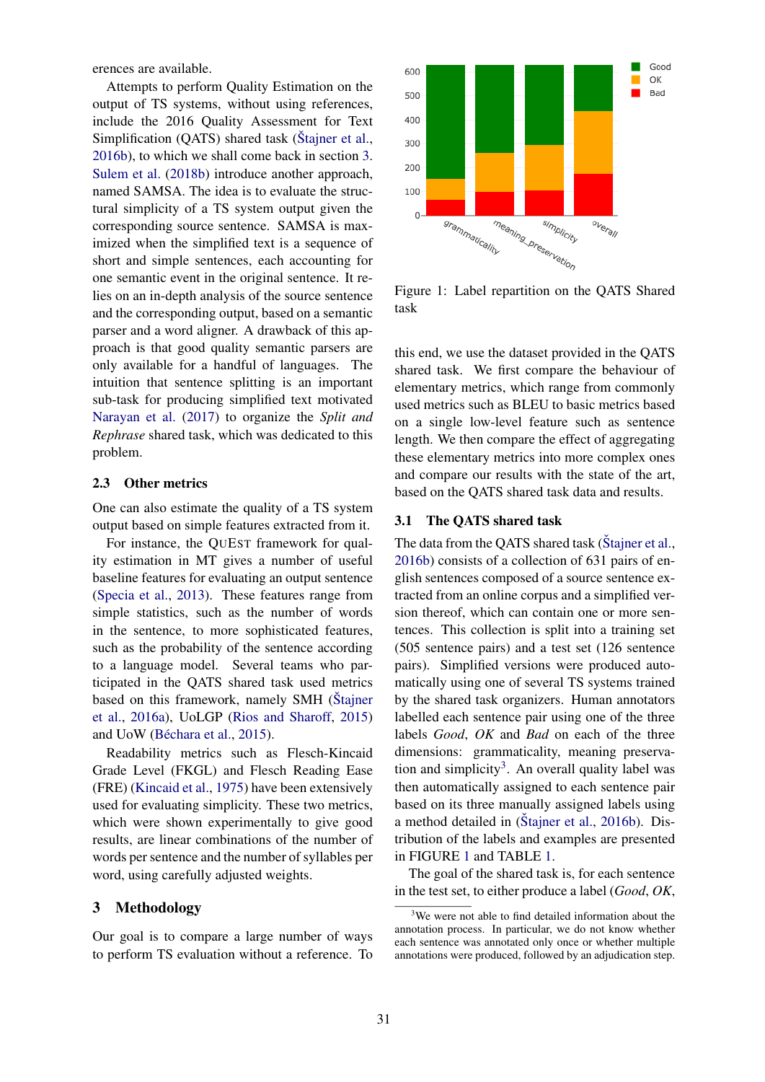erences are available.

Attempts to perform Quality Estimation on the output of TS systems, without using references, include the 2016 Quality Assessment for Text Simplification  $(QATS)$  shared task (Stajner et al., 2016b), to which we shall come back in section 3. Sulem et al. (2018b) introduce another approach, named SAMSA. The idea is to evaluate the structural simplicity of a TS system output given the corresponding source sentence. SAMSA is maximized when the simplified text is a sequence of short and simple sentences, each accounting for one semantic event in the original sentence. It relies on an in-depth analysis of the source sentence and the corresponding output, based on a semantic parser and a word aligner. A drawback of this approach is that good quality semantic parsers are only available for a handful of languages. The intuition that sentence splitting is an important sub-task for producing simplified text motivated Narayan et al. (2017) to organize the *Split and Rephrase* shared task, which was dedicated to this problem.

### 2.3 Other metrics

One can also estimate the quality of a TS system output based on simple features extracted from it.

For instance, the QUEST framework for quality estimation in MT gives a number of useful baseline features for evaluating an output sentence (Specia et al., 2013). These features range from simple statistics, such as the number of words in the sentence, to more sophisticated features, such as the probability of the sentence according to a language model. Several teams who participated in the QATS shared task used metrics based on this framework, namely SMH (Stajner et al., 2016a), UoLGP (Rios and Sharoff, 2015) and UoW (Béchara et al., 2015).

Readability metrics such as Flesch-Kincaid Grade Level (FKGL) and Flesch Reading Ease (FRE) (Kincaid et al., 1975) have been extensively used for evaluating simplicity. These two metrics, which were shown experimentally to give good results, are linear combinations of the number of words per sentence and the number of syllables per word, using carefully adjusted weights.

### 3 Methodology

Our goal is to compare a large number of ways to perform TS evaluation without a reference. To



Figure 1: Label repartition on the QATS Shared task

this end, we use the dataset provided in the QATS shared task. We first compare the behaviour of elementary metrics, which range from commonly used metrics such as BLEU to basic metrics based on a single low-level feature such as sentence length. We then compare the effect of aggregating these elementary metrics into more complex ones and compare our results with the state of the art, based on the QATS shared task data and results.

#### 3.1 The QATS shared task

The data from the OATS shared task (Stajner et al., 2016b) consists of a collection of 631 pairs of english sentences composed of a source sentence extracted from an online corpus and a simplified version thereof, which can contain one or more sentences. This collection is split into a training set (505 sentence pairs) and a test set (126 sentence pairs). Simplified versions were produced automatically using one of several TS systems trained by the shared task organizers. Human annotators labelled each sentence pair using one of the three labels *Good*, *OK* and *Bad* on each of the three dimensions: grammaticality, meaning preservation and simplicity<sup>3</sup>. An overall quality label was then automatically assigned to each sentence pair based on its three manually assigned labels using a method detailed in  $(Štajner et al., 2016b)$ . Distribution of the labels and examples are presented in FIGURE 1 and TABLE 1.

The goal of the shared task is, for each sentence in the test set, to either produce a label (*Good*, *OK*,

<sup>&</sup>lt;sup>3</sup>We were not able to find detailed information about the annotation process. In particular, we do not know whether each sentence was annotated only once or whether multiple annotations were produced, followed by an adjudication step.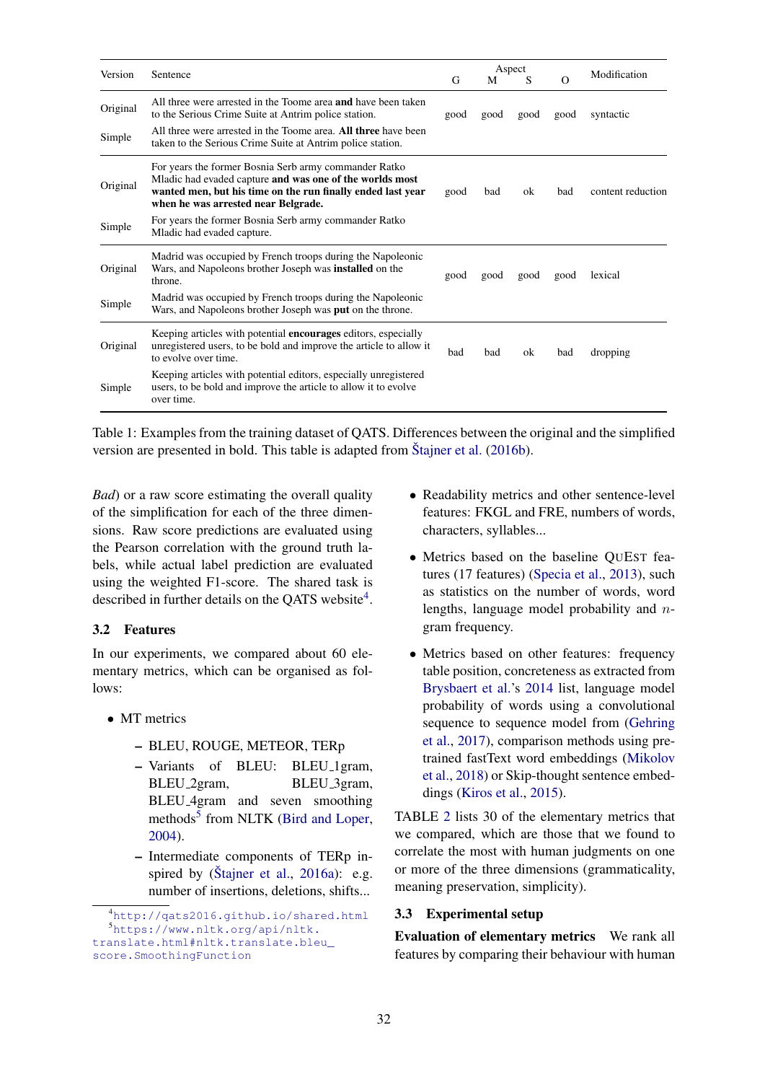| Version  | Sentence                                                                                                                                                                                                                |      | Aspect |      |          | Modification      |  |
|----------|-------------------------------------------------------------------------------------------------------------------------------------------------------------------------------------------------------------------------|------|--------|------|----------|-------------------|--|
|          |                                                                                                                                                                                                                         | G    | M      | S    | $\Omega$ |                   |  |
| Original | All three were arrested in the Toome area <b>and</b> have been taken<br>to the Serious Crime Suite at Antrim police station.                                                                                            | good | good   | good | good     | syntactic         |  |
| Simple   | All three were arrested in the Toome area. All three have been<br>taken to the Serious Crime Suite at Antrim police station.                                                                                            |      |        |      |          |                   |  |
| Original | For years the former Bosnia Serb army commander Ratko<br>Mladic had evaded capture and was one of the worlds most<br>wanted men, but his time on the run finally ended last year<br>when he was arrested near Belgrade. | good | bad    | ok   | bad      | content reduction |  |
| Simple   | For years the former Bosnia Serb army commander Ratko<br>Mladic had evaded capture.                                                                                                                                     |      |        |      |          |                   |  |
| Original | Madrid was occupied by French troops during the Napoleonic<br>Wars, and Napoleons brother Joseph was <b>installed</b> on the<br>throne.                                                                                 | good | good   | good | good     | lexical           |  |
| Simple   | Madrid was occupied by French troops during the Napoleonic<br>Wars, and Napoleons brother Joseph was <b>put</b> on the throne.                                                                                          |      |        |      |          |                   |  |
| Original | Keeping articles with potential <b>encourages</b> editors, especially<br>unregistered users, to be bold and improve the article to allow it<br>to evolve over time.                                                     | bad  | bad    | ok   | bad      | dropping          |  |
| Simple   | Keeping articles with potential editors, especially unregistered<br>users, to be bold and improve the article to allow it to evolve<br>over time.                                                                       |      |        |      |          |                   |  |

Table 1: Examples from the training dataset of QATS. Differences between the original and the simplified version are presented in bold. This table is adapted from Stajner et al.  $(2016b)$ .

*Bad*) or a raw score estimating the overall quality of the simplification for each of the three dimensions. Raw score predictions are evaluated using the Pearson correlation with the ground truth labels, while actual label prediction are evaluated using the weighted F1-score. The shared task is described in further details on the QATS website<sup>4</sup>.

### 3.2 Features

In our experiments, we compared about 60 elementary metrics, which can be organised as follows:

- MT metrics
	- BLEU, ROUGE, METEOR, TERp
	- Variants of BLEU: BLEU 1gram, BLEU<sub>-2gram</sub>, BLEU<sub>-3gram</sub>, BLEU 4gram and seven smoothing methods<sup>5</sup> from NLTK (Bird and Loper, 2004).
	- Intermediate components of TERp inspired by (Stajner et al.,  $2016a$ ): e.g. number of insertions, deletions, shifts...
- Readability metrics and other sentence-level features: FKGL and FRE, numbers of words, characters, syllables...
- Metrics based on the baseline QUEST features (17 features) (Specia et al., 2013), such as statistics on the number of words, word lengths, language model probability and ngram frequency.
- Metrics based on other features: frequency table position, concreteness as extracted from Brysbaert et al.'s 2014 list, language model probability of words using a convolutional sequence to sequence model from (Gehring et al., 2017), comparison methods using pretrained fastText word embeddings (Mikolov et al., 2018) or Skip-thought sentence embeddings (Kiros et al., 2015).

TABLE 2 lists 30 of the elementary metrics that we compared, which are those that we found to correlate the most with human judgments on one or more of the three dimensions (grammaticality, meaning preservation, simplicity).

### 3.3 Experimental setup

Evaluation of elementary metrics We rank all features by comparing their behaviour with human

<sup>4</sup>http://qats2016.github.io/shared.html <sup>5</sup>https://www.nltk.org/api/nltk. translate.html#nltk.translate.bleu\_ score.SmoothingFunction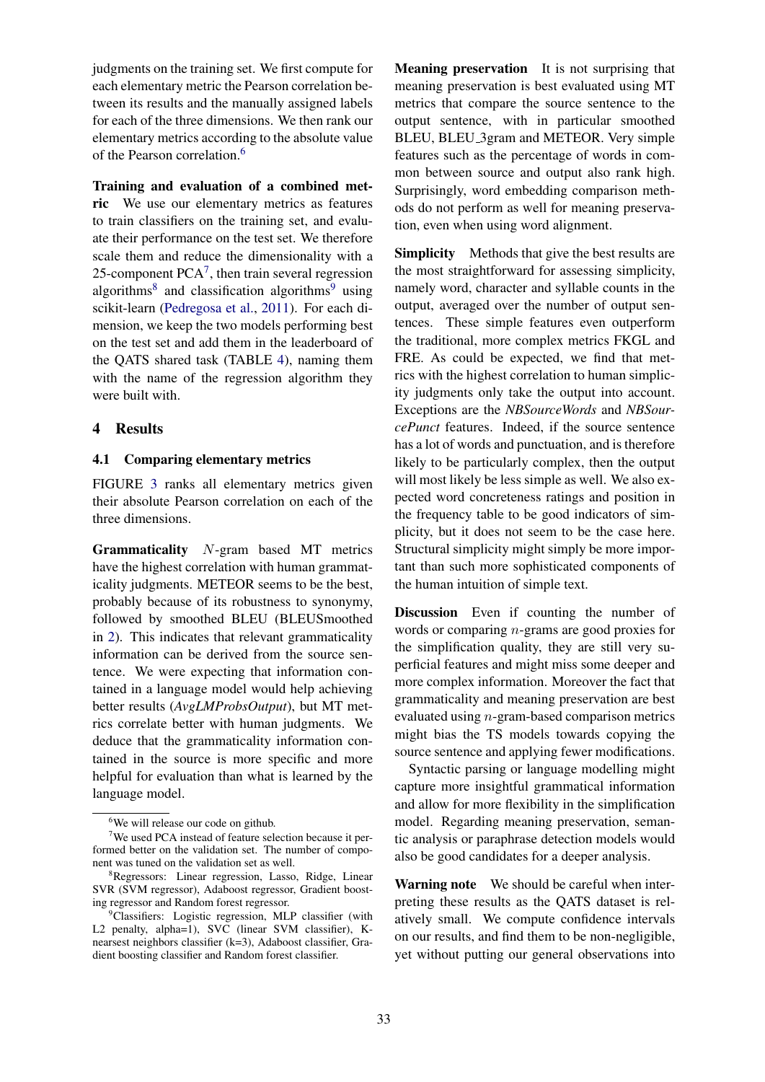judgments on the training set. We first compute for each elementary metric the Pearson correlation between its results and the manually assigned labels for each of the three dimensions. We then rank our elementary metrics according to the absolute value of the Pearson correlation.<sup>6</sup>

Training and evaluation of a combined metric We use our elementary metrics as features to train classifiers on the training set, and evaluate their performance on the test set. We therefore scale them and reduce the dimensionality with a 25-component  $PCA<sup>7</sup>$ , then train several regression algorithms<sup>8</sup> and classification algorithms<sup>9</sup> using scikit-learn (Pedregosa et al., 2011). For each dimension, we keep the two models performing best on the test set and add them in the leaderboard of the QATS shared task (TABLE 4), naming them with the name of the regression algorithm they were built with.

### 4 Results

### 4.1 Comparing elementary metrics

FIGURE 3 ranks all elementary metrics given their absolute Pearson correlation on each of the three dimensions.

Grammaticality N-gram based MT metrics have the highest correlation with human grammaticality judgments. METEOR seems to be the best, probably because of its robustness to synonymy, followed by smoothed BLEU (BLEUSmoothed in 2). This indicates that relevant grammaticality information can be derived from the source sentence. We were expecting that information contained in a language model would help achieving better results (*AvgLMProbsOutput*), but MT metrics correlate better with human judgments. We deduce that the grammaticality information contained in the source is more specific and more helpful for evaluation than what is learned by the language model.

Meaning preservation It is not surprising that meaning preservation is best evaluated using MT metrics that compare the source sentence to the output sentence, with in particular smoothed BLEU, BLEU 3gram and METEOR. Very simple features such as the percentage of words in common between source and output also rank high. Surprisingly, word embedding comparison methods do not perform as well for meaning preservation, even when using word alignment.

Simplicity Methods that give the best results are the most straightforward for assessing simplicity, namely word, character and syllable counts in the output, averaged over the number of output sentences. These simple features even outperform the traditional, more complex metrics FKGL and FRE. As could be expected, we find that metrics with the highest correlation to human simplicity judgments only take the output into account. Exceptions are the *NBSourceWords* and *NBSourcePunct* features. Indeed, if the source sentence has a lot of words and punctuation, and is therefore likely to be particularly complex, then the output will most likely be less simple as well. We also expected word concreteness ratings and position in the frequency table to be good indicators of simplicity, but it does not seem to be the case here. Structural simplicity might simply be more important than such more sophisticated components of the human intuition of simple text.

Discussion Even if counting the number of words or comparing n-grams are good proxies for the simplification quality, they are still very superficial features and might miss some deeper and more complex information. Moreover the fact that grammaticality and meaning preservation are best evaluated using n-gram-based comparison metrics might bias the TS models towards copying the source sentence and applying fewer modifications.

Syntactic parsing or language modelling might capture more insightful grammatical information and allow for more flexibility in the simplification model. Regarding meaning preservation, semantic analysis or paraphrase detection models would also be good candidates for a deeper analysis.

Warning note We should be careful when interpreting these results as the QATS dataset is relatively small. We compute confidence intervals on our results, and find them to be non-negligible, yet without putting our general observations into

<sup>&</sup>lt;sup>6</sup>We will release our code on github.

<sup>7</sup>We used PCA instead of feature selection because it performed better on the validation set. The number of component was tuned on the validation set as well.

<sup>8</sup>Regressors: Linear regression, Lasso, Ridge, Linear SVR (SVM regressor), Adaboost regressor, Gradient boosting regressor and Random forest regressor.

<sup>&</sup>lt;sup>9</sup>Classifiers: Logistic regression, MLP classifier (with L2 penalty, alpha=1), SVC (linear SVM classifier), Knearsest neighbors classifier (k=3), Adaboost classifier, Gradient boosting classifier and Random forest classifier.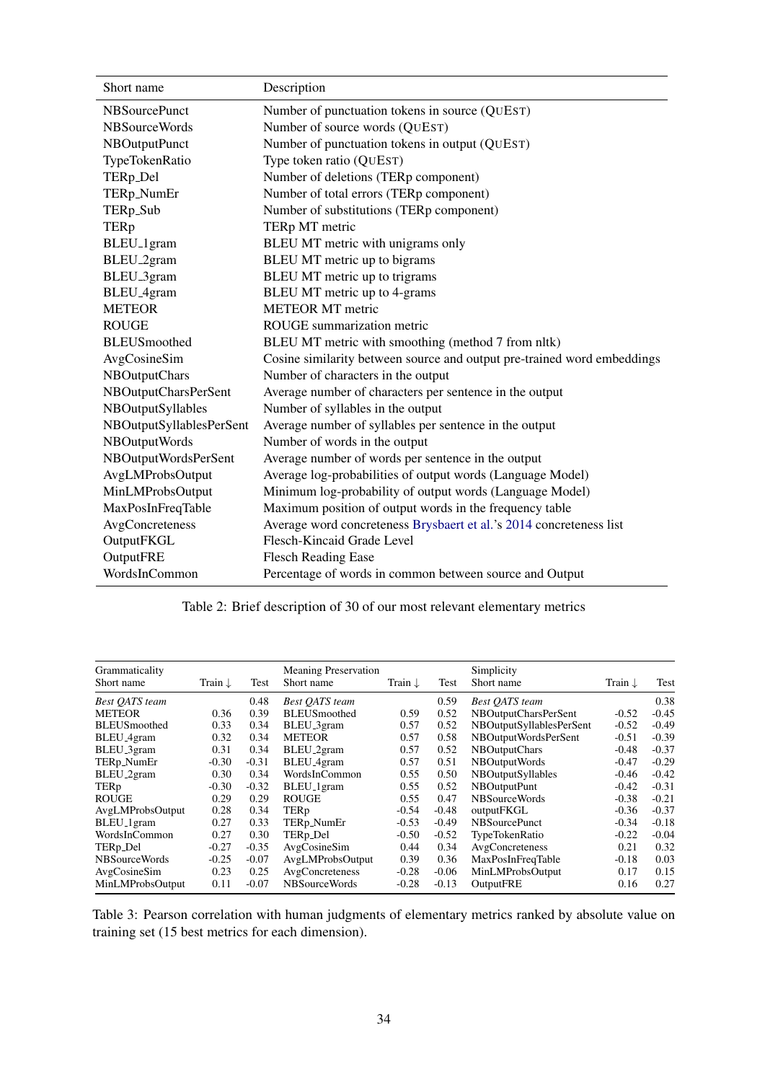| Short name               | Description                                                             |
|--------------------------|-------------------------------------------------------------------------|
| <b>NBSourcePunct</b>     | Number of punctuation tokens in source (QUEST)                          |
| <b>NBSourceWords</b>     | Number of source words (QUEST)                                          |
| NBOutputPunct            | Number of punctuation tokens in output (QUEST)                          |
| TypeTokenRatio           | Type token ratio (QUEST)                                                |
| TERp_Del                 | Number of deletions (TERp component)                                    |
| TERp_NumEr               | Number of total errors (TERp component)                                 |
| TERp_Sub                 | Number of substitutions (TERp component)                                |
| <b>TERp</b>              | TERp MT metric                                                          |
| BLEU <sub>-1</sub> gram  | BLEU MT metric with unigrams only                                       |
| BLEU <sub>-2</sub> gram  | BLEU MT metric up to bigrams                                            |
| BLEU <sub>_3</sub> gram  | BLEU MT metric up to trigrams                                           |
| BLEU <sub>-4gram</sub>   | BLEU MT metric up to 4-grams                                            |
| <b>METEOR</b>            | <b>METEOR MT</b> metric                                                 |
| <b>ROUGE</b>             | ROUGE summarization metric                                              |
| <b>BLEUS</b> moothed     | BLEU MT metric with smoothing (method 7 from nltk)                      |
| AvgCosineSim             | Cosine similarity between source and output pre-trained word embeddings |
| NBOutputChars            | Number of characters in the output                                      |
| NBOutputCharsPerSent     | Average number of characters per sentence in the output                 |
| NBOutputSyllables        | Number of syllables in the output                                       |
| NBOutputSyllablesPerSent | Average number of syllables per sentence in the output                  |
| NBOutputWords            | Number of words in the output                                           |
| NBOutputWordsPerSent     | Average number of words per sentence in the output                      |
| AvgLMProbsOutput         | Average log-probabilities of output words (Language Model)              |
| MinLMProbsOutput         | Minimum log-probability of output words (Language Model)                |
| MaxPosInFreqTable        | Maximum position of output words in the frequency table                 |
| AvgConcreteness          | Average word concreteness Brysbaert et al.'s 2014 concreteness list     |
| OutputFKGL               | Flesch-Kincaid Grade Level                                              |
| OutputFRE                | <b>Flesch Reading Ease</b>                                              |
| WordsInCommon            | Percentage of words in common between source and Output                 |

|  |  |  | Table 2: Brief description of 30 of our most relevant elementary metrics |  |
|--|--|--|--------------------------------------------------------------------------|--|
|  |  |  |                                                                          |  |

| Grammaticality<br>Short name | Train $\downarrow$ | Test    | <b>Meaning Preservation</b><br>Short name | Train $\downarrow$ | Test    | Simplicity<br>Short name | Train $\downarrow$ | Test    |
|------------------------------|--------------------|---------|-------------------------------------------|--------------------|---------|--------------------------|--------------------|---------|
|                              |                    |         |                                           |                    |         |                          |                    |         |
| <b>Best OATS</b> team        |                    | 0.48    | <b>Best OATS</b> team                     |                    | 0.59    | <b>Best OATS</b> team    |                    | 0.38    |
| <b>METEOR</b>                | 0.36               | 0.39    | <b>BLEUS</b> moothed                      | 0.59               | 0.52    | NBOutputCharsPerSent     | $-0.52$            | $-0.45$ |
| <b>BLEUS</b> moothed         | 0.33               | 0.34    | BLEU <sub>-3</sub> gram                   | 0.57               | 0.52    | NBOutputSyllablesPerSent | $-0.52$            | $-0.49$ |
| BLEU <sub>-4gram</sub>       | 0.32               | 0.34    | <b>METEOR</b>                             | 0.57               | 0.58    | NBOutputWordsPerSent     | $-0.51$            | $-0.39$ |
| BLEU_3gram                   | 0.31               | 0.34    | BLEU <sub>_2gram</sub>                    | 0.57               | 0.52    | <b>NBOutputChars</b>     | $-0.48$            | $-0.37$ |
| TERp_NumEr                   | $-0.30$            | $-0.31$ | BLEU <sub>-4gram</sub>                    | 0.57               | 0.51    | NBOutputWords            | $-0.47$            | $-0.29$ |
| BLEU <sub>-2gram</sub>       | 0.30               | 0.34    | WordsInCommon                             | 0.55               | 0.50    | <b>NBOutputSyllables</b> | $-0.46$            | $-0.42$ |
| TERp                         | $-0.30$            | $-0.32$ | BLEU <sub>_1</sub> gram                   | 0.55               | 0.52    | NBOutputPunt             | $-0.42$            | $-0.31$ |
| ROUGE                        | 0.29               | 0.29    | <b>ROUGE</b>                              | 0.55               | 0.47    | NBSourceWords            | $-0.38$            | $-0.21$ |
| AvgLMProbsOutput             | 0.28               | 0.34    | TERp                                      | $-0.54$            | $-0.48$ | outputFKGL               | $-0.36$            | $-0.37$ |
| BLEU <sub>-1</sub> gram      | 0.27               | 0.33    | TERp_NumEr                                | $-0.53$            | $-0.49$ | <b>NBS</b> ourcePunct    | $-0.34$            | $-0.18$ |
| WordsInCommon                | 0.27               | 0.30    | TERp_Del                                  | $-0.50$            | $-0.52$ | TypeTokenRatio           | $-0.22$            | $-0.04$ |
| TERp_Del                     | $-0.27$            | $-0.35$ | AvgCosineSim                              | 0.44               | 0.34    | AvgConcreteness          | 0.21               | 0.32    |
| <b>NBSourceWords</b>         | $-0.25$            | $-0.07$ | AvgLMProbsOutput                          | 0.39               | 0.36    | MaxPosInFreqTable        | $-0.18$            | 0.03    |
| AvgCosineSim                 | 0.23               | 0.25    | AvgConcreteness                           | $-0.28$            | $-0.06$ | MinLMProbsOutput         | 0.17               | 0.15    |
| MinLMProbsOutput             | 0.11               | $-0.07$ | NBSourceWords                             | $-0.28$            | $-0.13$ | OutputFRE                | 0.16               | 0.27    |

Table 3: Pearson correlation with human judgments of elementary metrics ranked by absolute value on training set (15 best metrics for each dimension).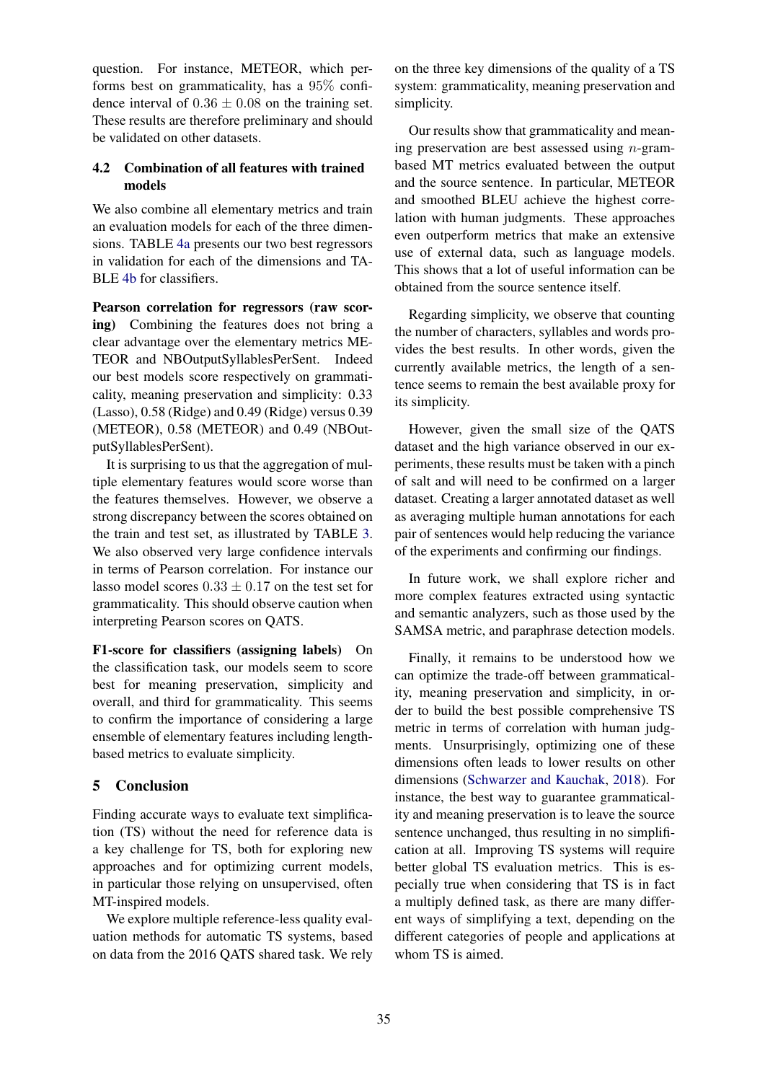question. For instance, METEOR, which performs best on grammaticality, has a 95% confidence interval of  $0.36 \pm 0.08$  on the training set. These results are therefore preliminary and should be validated on other datasets.

### 4.2 Combination of all features with trained models

We also combine all elementary metrics and train an evaluation models for each of the three dimensions. TABLE 4a presents our two best regressors in validation for each of the dimensions and TA-BLE 4b for classifiers.

Pearson correlation for regressors (raw scoring) Combining the features does not bring a clear advantage over the elementary metrics ME-TEOR and NBOutputSyllablesPerSent. Indeed our best models score respectively on grammaticality, meaning preservation and simplicity: 0.33 (Lasso), 0.58 (Ridge) and 0.49 (Ridge) versus 0.39 (METEOR), 0.58 (METEOR) and 0.49 (NBOutputSyllablesPerSent).

It is surprising to us that the aggregation of multiple elementary features would score worse than the features themselves. However, we observe a strong discrepancy between the scores obtained on the train and test set, as illustrated by TABLE 3. We also observed very large confidence intervals in terms of Pearson correlation. For instance our lasso model scores  $0.33 + 0.17$  on the test set for grammaticality. This should observe caution when interpreting Pearson scores on QATS.

F1-score for classifiers (assigning labels) On the classification task, our models seem to score best for meaning preservation, simplicity and overall, and third for grammaticality. This seems to confirm the importance of considering a large ensemble of elementary features including lengthbased metrics to evaluate simplicity.

## 5 Conclusion

Finding accurate ways to evaluate text simplification (TS) without the need for reference data is a key challenge for TS, both for exploring new approaches and for optimizing current models, in particular those relying on unsupervised, often MT-inspired models.

We explore multiple reference-less quality evaluation methods for automatic TS systems, based on data from the 2016 QATS shared task. We rely on the three key dimensions of the quality of a TS system: grammaticality, meaning preservation and simplicity.

Our results show that grammaticality and meaning preservation are best assessed using  $n$ -grambased MT metrics evaluated between the output and the source sentence. In particular, METEOR and smoothed BLEU achieve the highest correlation with human judgments. These approaches even outperform metrics that make an extensive use of external data, such as language models. This shows that a lot of useful information can be obtained from the source sentence itself.

Regarding simplicity, we observe that counting the number of characters, syllables and words provides the best results. In other words, given the currently available metrics, the length of a sentence seems to remain the best available proxy for its simplicity.

However, given the small size of the QATS dataset and the high variance observed in our experiments, these results must be taken with a pinch of salt and will need to be confirmed on a larger dataset. Creating a larger annotated dataset as well as averaging multiple human annotations for each pair of sentences would help reducing the variance of the experiments and confirming our findings.

In future work, we shall explore richer and more complex features extracted using syntactic and semantic analyzers, such as those used by the SAMSA metric, and paraphrase detection models.

Finally, it remains to be understood how we can optimize the trade-off between grammaticality, meaning preservation and simplicity, in order to build the best possible comprehensive TS metric in terms of correlation with human judgments. Unsurprisingly, optimizing one of these dimensions often leads to lower results on other dimensions (Schwarzer and Kauchak, 2018). For instance, the best way to guarantee grammaticality and meaning preservation is to leave the source sentence unchanged, thus resulting in no simplification at all. Improving TS systems will require better global TS evaluation metrics. This is especially true when considering that TS is in fact a multiply defined task, as there are many different ways of simplifying a text, depending on the different categories of people and applications at whom TS is aimed.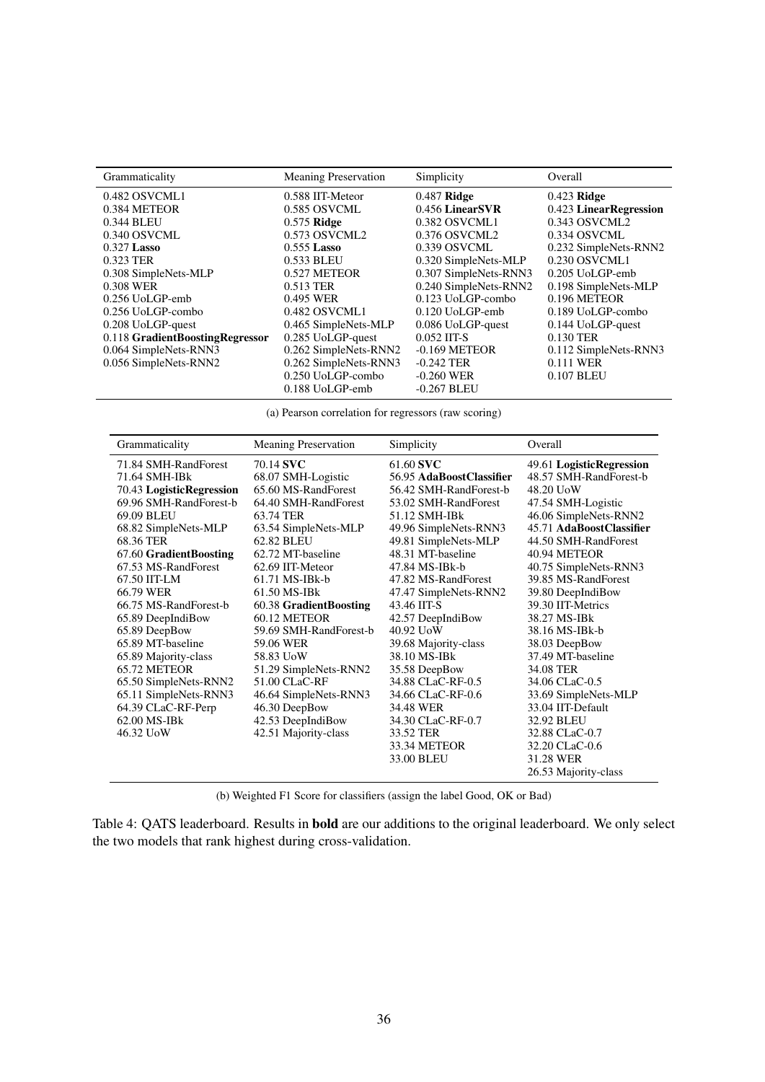| Grammaticality                  | <b>Meaning Preservation</b> | Simplicity            | Overall                |
|---------------------------------|-----------------------------|-----------------------|------------------------|
| 0.482 OSVCML1                   | 0.588 IIT-Meteor            | $0.487$ Ridge         | $0.423$ Ridge          |
| 0.384 METEOR                    | 0.585 OSVCML                | 0.456 LinearSVR       | 0.423 LinearRegression |
| 0.344 BLEU                      | $0.575$ Ridge               | 0.382 OSVCML1         | 0.343 OSVCML2          |
| 0.340 OSVCML                    | 0.573 OSVCML2               | 0.376 OSVCML2         | 0.334 OSVCML           |
| $0.327$ Lasso                   | $0.555$ Lasso               | 0.339 OSVCML          | 0.232 SimpleNets-RNN2  |
| 0.323 TER                       | 0.533 BLEU                  | 0.320 SimpleNets-MLP  | 0.230 OSVCML1          |
| 0.308 SimpleNets-MLP            | 0.527 METEOR                | 0.307 SimpleNets-RNN3 | 0.205 UoLGP-emb        |
| 0.308 WER                       | 0.513 TER                   | 0.240 SimpleNets-RNN2 | 0.198 SimpleNets-MLP   |
| 0.256 UoLGP-emb                 | 0.495 WER                   | 0.123 UoLGP-combo     | 0.196 METEOR           |
| 0.256 UoLGP-combo               | 0.482 OSVCML1               | 0.120 UoLGP-emb       | 0.189 UoLGP-combo      |
| 0.208 UoLGP-quest               | 0.465 SimpleNets-MLP        | 0.086 UoLGP-quest     | $0.144$ UoLGP-quest    |
| 0.118 GradientBoostingRegressor | 0.285 UoLGP-quest           | $0.052$ IIT-S         | 0.130 TER              |
| 0.064 SimpleNets-RNN3           | 0.262 SimpleNets-RNN2       | $-0.169$ METEOR       | 0.112 SimpleNets-RNN3  |
| 0.056 SimpleNets-RNN2           | 0.262 SimpleNets-RNN3       | $-0.242$ TER          | 0.111 WER              |
|                                 | 0.250 UoLGP-combo           | $-0.260$ WER          | 0.107 BLEU             |
|                                 | $0.188$ UoLGP-emb           | $-0.267$ BLEU         |                        |

(a) Pearson correlation for regressors (raw scoring)

| Grammaticality           | <b>Meaning Preservation</b> | Simplicity               | Overall                  |
|--------------------------|-----------------------------|--------------------------|--------------------------|
| 71.84 SMH-RandForest     | 70.14 SVC                   | 61.60 SVC                | 49.61 LogisticRegression |
| 71.64 SMH-IBk            | 68.07 SMH-Logistic          | 56.95 AdaBoostClassifier | 48.57 SMH-RandForest-b   |
| 70.43 LogisticRegression | 65.60 MS-RandForest         | 56.42 SMH-RandForest-b   | 48.20 UoW                |
| 69.96 SMH-RandForest-b   | 64.40 SMH-RandForest        | 53.02 SMH-RandForest     | 47.54 SMH-Logistic       |
| 69.09 BLEU               | 63.74 TER                   | 51.12 SMH-IBk            | 46.06 SimpleNets-RNN2    |
| 68.82 SimpleNets-MLP     | 63.54 SimpleNets-MLP        | 49.96 SimpleNets-RNN3    | 45.71 AdaBoostClassifier |
| 68.36 TER                | 62.82 BLEU                  | 49.81 SimpleNets-MLP     | 44.50 SMH-RandForest     |
| 67.60 GradientBoosting   | 62.72 MT-baseline           | 48.31 MT-baseline        | 40.94 METEOR             |
| 67.53 MS-RandForest      | 62.69 IIT-Meteor            | 47.84 MS-IBk-b           | 40.75 SimpleNets-RNN3    |
| 67.50 IIT-LM             | 61.71 MS-IBk-b              | 47.82 MS-RandForest      | 39.85 MS-RandForest      |
| 66.79 WER                | 61.50 MS-IBk                | 47.47 SimpleNets-RNN2    | 39.80 DeepIndiBow        |
| 66.75 MS-RandForest-b    | 60.38 GradientBoosting      | 43.46 IIT-S              | 39.30 IIT-Metrics        |
| 65.89 DeepIndiBow        | 60.12 METEOR                | 42.57 DeepIndiBow        | 38.27 MS-IBk             |
| 65.89 DeepBow            | 59.69 SMH-RandForest-b      | 40.92 UoW                | 38.16 MS-IBk-b           |
| 65.89 MT-baseline        | 59.06 WER                   | 39.68 Majority-class     | 38.03 DeepBow            |
| 65.89 Majority-class     | 58.83 UoW                   | 38.10 MS-IBk             | 37.49 MT-baseline        |
| 65.72 METEOR             | 51.29 SimpleNets-RNN2       | 35.58 DeepBow            | 34.08 TER                |
| 65.50 SimpleNets-RNN2    | 51.00 CLaC-RF               | 34.88 CLaC-RF-0.5        | 34.06 CLaC-0.5           |
| 65.11 SimpleNets-RNN3    | 46.64 SimpleNets-RNN3       | 34.66 CLaC-RF-0.6        | 33.69 SimpleNets-MLP     |
| 64.39 CLaC-RF-Perp       | 46.30 DeepBow               | 34.48 WER                | 33.04 IIT-Default        |
| 62.00 MS-IBk             | 42.53 DeepIndiBow           | 34.30 CLaC-RF-0.7        | 32.92 BLEU               |
| 46.32 UoW                | 42.51 Majority-class        | 33.52 TER                | 32.88 CLaC-0.7           |
|                          |                             | 33.34 METEOR             | 32.20 CLaC-0.6           |
|                          |                             | 33.00 BLEU               | 31.28 WER                |
|                          |                             |                          | 26.53 Majority-class     |

(b) Weighted F1 Score for classifiers (assign the label Good, OK or Bad)

Table 4: QATS leaderboard. Results in bold are our additions to the original leaderboard. We only select the two models that rank highest during cross-validation.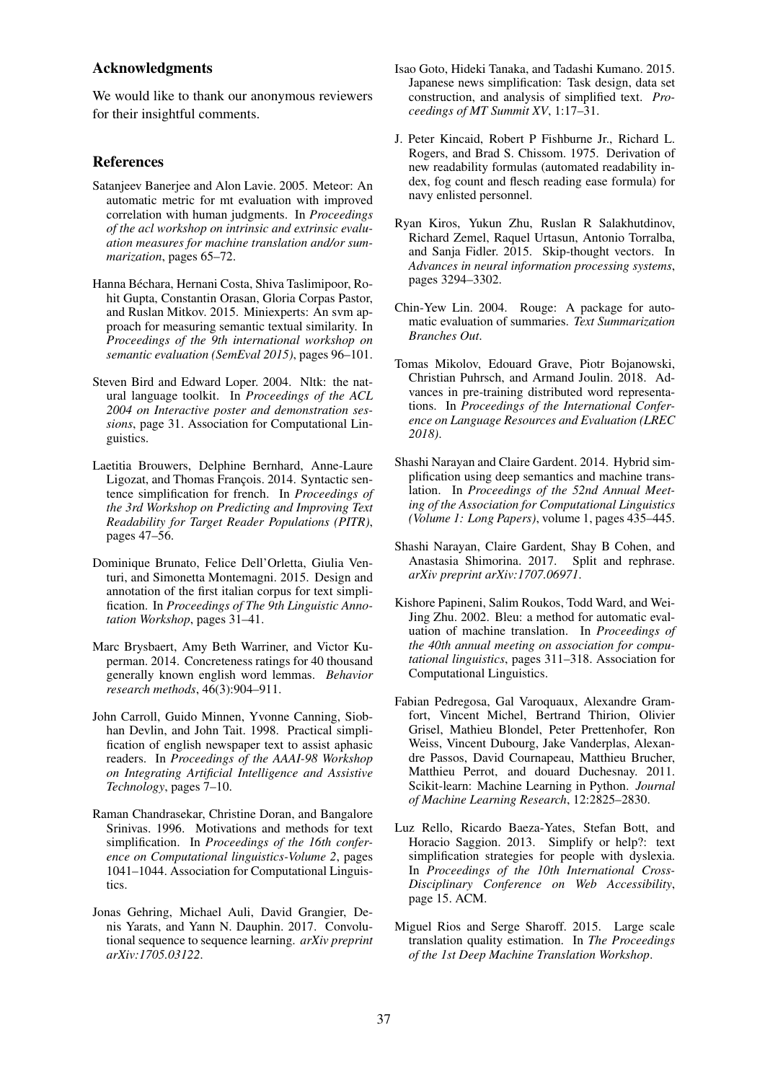### Acknowledgments

We would like to thank our anonymous reviewers for their insightful comments.

#### References

- Satanjeev Banerjee and Alon Lavie. 2005. Meteor: An automatic metric for mt evaluation with improved correlation with human judgments. In *Proceedings of the acl workshop on intrinsic and extrinsic evaluation measures for machine translation and/or summarization*, pages 65–72.
- Hanna Béchara, Hernani Costa, Shiva Taslimipoor, Rohit Gupta, Constantin Orasan, Gloria Corpas Pastor, and Ruslan Mitkov. 2015. Miniexperts: An svm approach for measuring semantic textual similarity. In *Proceedings of the 9th international workshop on semantic evaluation (SemEval 2015)*, pages 96–101.
- Steven Bird and Edward Loper. 2004. Nltk: the natural language toolkit. In *Proceedings of the ACL 2004 on Interactive poster and demonstration sessions*, page 31. Association for Computational Linguistics.
- Laetitia Brouwers, Delphine Bernhard, Anne-Laure Ligozat, and Thomas François. 2014. Syntactic sentence simplification for french. In *Proceedings of the 3rd Workshop on Predicting and Improving Text Readability for Target Reader Populations (PITR)*, pages 47–56.
- Dominique Brunato, Felice Dell'Orletta, Giulia Venturi, and Simonetta Montemagni. 2015. Design and annotation of the first italian corpus for text simplification. In *Proceedings of The 9th Linguistic Annotation Workshop*, pages 31–41.
- Marc Brysbaert, Amy Beth Warriner, and Victor Kuperman. 2014. Concreteness ratings for 40 thousand generally known english word lemmas. *Behavior research methods*, 46(3):904–911.
- John Carroll, Guido Minnen, Yvonne Canning, Siobhan Devlin, and John Tait. 1998. Practical simplification of english newspaper text to assist aphasic readers. In *Proceedings of the AAAI-98 Workshop on Integrating Artificial Intelligence and Assistive Technology*, pages 7–10.
- Raman Chandrasekar, Christine Doran, and Bangalore Srinivas. 1996. Motivations and methods for text simplification. In *Proceedings of the 16th conference on Computational linguistics-Volume 2*, pages 1041–1044. Association for Computational Linguistics.
- Jonas Gehring, Michael Auli, David Grangier, Denis Yarats, and Yann N. Dauphin. 2017. Convolutional sequence to sequence learning. *arXiv preprint arXiv:1705.03122*.
- Isao Goto, Hideki Tanaka, and Tadashi Kumano. 2015. Japanese news simplification: Task design, data set construction, and analysis of simplified text. *Proceedings of MT Summit XV*, 1:17–31.
- J. Peter Kincaid, Robert P Fishburne Jr., Richard L. Rogers, and Brad S. Chissom. 1975. Derivation of new readability formulas (automated readability index, fog count and flesch reading ease formula) for navy enlisted personnel.
- Ryan Kiros, Yukun Zhu, Ruslan R Salakhutdinov, Richard Zemel, Raquel Urtasun, Antonio Torralba, and Sanja Fidler. 2015. Skip-thought vectors. In *Advances in neural information processing systems*, pages 3294–3302.
- Chin-Yew Lin. 2004. Rouge: A package for automatic evaluation of summaries. *Text Summarization Branches Out*.
- Tomas Mikolov, Edouard Grave, Piotr Bojanowski, Christian Puhrsch, and Armand Joulin. 2018. Advances in pre-training distributed word representations. In *Proceedings of the International Conference on Language Resources and Evaluation (LREC 2018)*.
- Shashi Narayan and Claire Gardent. 2014. Hybrid simplification using deep semantics and machine translation. In *Proceedings of the 52nd Annual Meeting of the Association for Computational Linguistics (Volume 1: Long Papers)*, volume 1, pages 435–445.
- Shashi Narayan, Claire Gardent, Shay B Cohen, and Anastasia Shimorina. 2017. Split and rephrase. *arXiv preprint arXiv:1707.06971*.
- Kishore Papineni, Salim Roukos, Todd Ward, and Wei-Jing Zhu. 2002. Bleu: a method for automatic evaluation of machine translation. In *Proceedings of the 40th annual meeting on association for computational linguistics*, pages 311–318. Association for Computational Linguistics.
- Fabian Pedregosa, Gal Varoquaux, Alexandre Gramfort, Vincent Michel, Bertrand Thirion, Olivier Grisel, Mathieu Blondel, Peter Prettenhofer, Ron Weiss, Vincent Dubourg, Jake Vanderplas, Alexandre Passos, David Cournapeau, Matthieu Brucher, Matthieu Perrot, and douard Duchesnay. 2011. Scikit-learn: Machine Learning in Python. *Journal of Machine Learning Research*, 12:2825–2830.
- Luz Rello, Ricardo Baeza-Yates, Stefan Bott, and Horacio Saggion. 2013. Simplify or help?: text simplification strategies for people with dyslexia. In *Proceedings of the 10th International Cross-Disciplinary Conference on Web Accessibility*, page 15. ACM.
- Miguel Rios and Serge Sharoff. 2015. Large scale translation quality estimation. In *The Proceedings of the 1st Deep Machine Translation Workshop*.